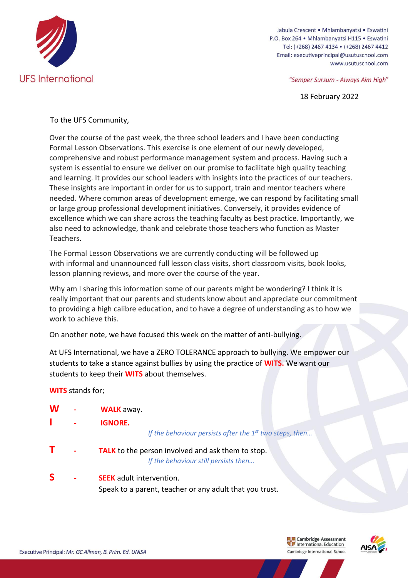

Jabula Crescent . Mhlambanyatsi . Eswatini P.O. Box 264 · Mhlambanyatsi H115 · Eswatini Tel: (+268) 2467 4134 • (+268) 2467 4412 Email: executiveprincipal@usutuschool.com www.usutuschool.com

"Semper Sursum - Always Aim High"

18 February 2022

## To the UFS Community,

Over the course of the past week, the three school leaders and I have been conducting Formal Lesson Observations. This exercise is one element of our newly developed, comprehensive and robust performance management system and process. Having such a system is essential to ensure we deliver on our promise to facilitate high quality teaching and learning. It provides our school leaders with insights into the practices of our teachers. These insights are important in order for us to support, train and mentor teachers where needed. Where common areas of development emerge, we can respond by facilitating small or large group professional development initiatives. Conversely, it provides evidence of excellence which we can share across the teaching faculty as best practice. Importantly, we also need to acknowledge, thank and celebrate those teachers who function as Master Teachers.

The Formal Lesson Observations we are currently conducting will be followed up with informal and unannounced full lesson class visits, short classroom visits, book looks, lesson planning reviews, and more over the course of the year.

Why am I sharing this information some of our parents might be wondering? I think it is really important that our parents and students know about and appreciate our commitment to providing a high calibre education, and to have a degree of understanding as to how we work to achieve this.

On another note, we have focused this week on the matter of anti-bullying.

At UFS International, we have a ZERO TOLERANCE approach to bullying. We empower our students to take a stance against bullies by using the practice of **WITS.** We want our students to keep their **WITS** about themselves.

## **WITS** stands for;

| W | <b>WALK</b> away.                                                                                |
|---|--------------------------------------------------------------------------------------------------|
|   | <b>IGNORE.</b><br>If the behaviour persists after the $1st$ two steps, then                      |
|   | <b>TALK</b> to the person involved and ask them to stop.<br>If the behaviour still persists then |
| S | <b>SEEK</b> adult intervention.<br>Speak to a parent, teacher or any adult that you trust.       |